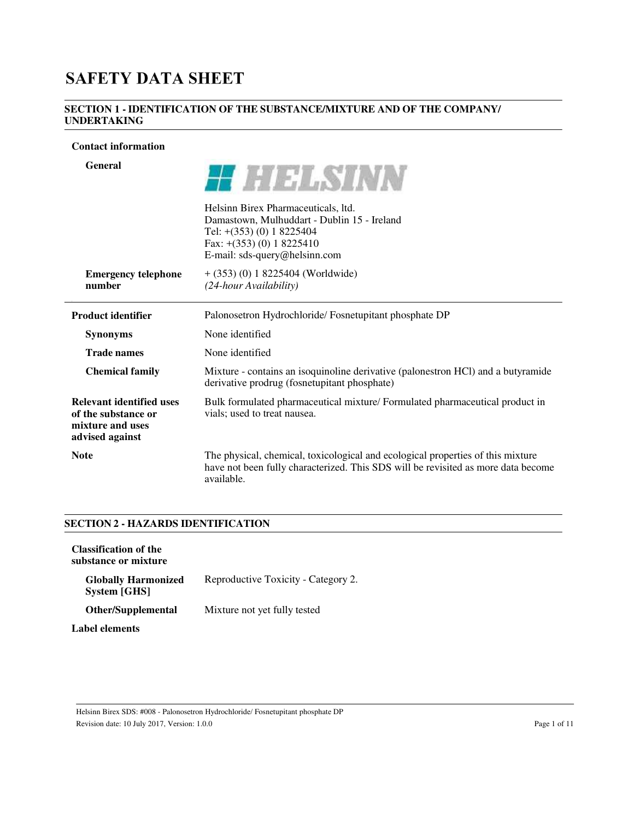# **SAFETY DATA SHEET**

## **SECTION 1 - IDENTIFICATION OF THE SUBSTANCE/MIXTURE AND OF THE COMPANY/ UNDERTAKING**

#### **Contact information**

| General                                                                                       | HIII AY INN                                                                                                                                                                        |
|-----------------------------------------------------------------------------------------------|------------------------------------------------------------------------------------------------------------------------------------------------------------------------------------|
|                                                                                               | Helsinn Birex Pharmaceuticals, ltd.<br>Damastown, Mulhuddart - Dublin 15 - Ireland<br>Tel: $+(353)$ (0) 1 8225404<br>Fax: $+(353)(0) 1 8225410$<br>E-mail: sds-query@helsinn.com   |
| <b>Emergency telephone</b><br>number                                                          | $+$ (353) (0) 1 8225404 (Worldwide)<br>(24-hour Availability)                                                                                                                      |
| <b>Product identifier</b>                                                                     | Palonosetron Hydrochloride/Fosnetupitant phosphate DP                                                                                                                              |
| <b>Synonyms</b>                                                                               | None identified                                                                                                                                                                    |
| <b>Trade names</b>                                                                            | None identified                                                                                                                                                                    |
| <b>Chemical family</b>                                                                        | Mixture - contains an isoquinoline derivative (palonestron HCl) and a butyramide<br>derivative prodrug (fosnetupitant phosphate)                                                   |
| <b>Relevant identified uses</b><br>of the substance or<br>mixture and uses<br>advised against | Bulk formulated pharmaceutical mixture/ Formulated pharmaceutical product in<br>vials; used to treat nausea.                                                                       |
| <b>Note</b>                                                                                   | The physical, chemical, toxicological and ecological properties of this mixture<br>have not been fully characterized. This SDS will be revisited as more data become<br>available. |

## **SECTION 2 - HAZARDS IDENTIFICATION**

| <b>Classification of the</b><br>substance or mixture |                                     |
|------------------------------------------------------|-------------------------------------|
| <b>Globally Harmonized</b><br><b>System [GHS]</b>    | Reproductive Toxicity - Category 2. |
| <b>Other/Supplemental</b>                            | Mixture not yet fully tested        |
| <b>Label elements</b>                                |                                     |

Revision date: 10 July 2017, Version: 1.0.0 Page 1 of 11

Helsinn Birex SDS: #008 - Palonosetron Hydrochloride/ Fosnetupitant phosphate DP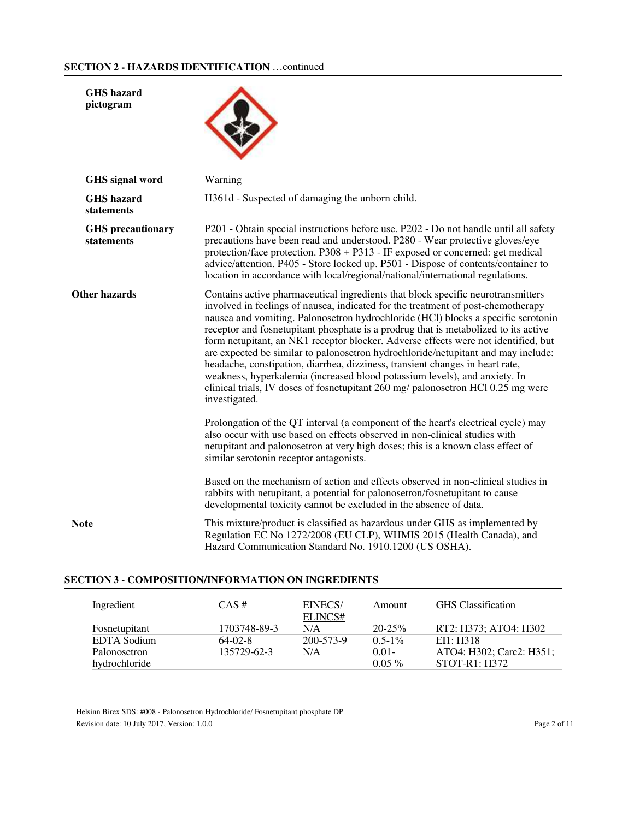## **SECTION 2 - HAZARDS IDENTIFICATION** …continued

| <b>GHS</b> hazard<br>pictogram         |                                                                                                                                                                                                                                                                                                                                                                                                                                                                                                                                                                                                                                                                                                                                                                                                 |
|----------------------------------------|-------------------------------------------------------------------------------------------------------------------------------------------------------------------------------------------------------------------------------------------------------------------------------------------------------------------------------------------------------------------------------------------------------------------------------------------------------------------------------------------------------------------------------------------------------------------------------------------------------------------------------------------------------------------------------------------------------------------------------------------------------------------------------------------------|
| GHS signal word                        | Warning                                                                                                                                                                                                                                                                                                                                                                                                                                                                                                                                                                                                                                                                                                                                                                                         |
| <b>GHS</b> hazard<br>statements        | H361d - Suspected of damaging the unborn child.                                                                                                                                                                                                                                                                                                                                                                                                                                                                                                                                                                                                                                                                                                                                                 |
| <b>GHS</b> precautionary<br>statements | P201 - Obtain special instructions before use. P202 - Do not handle until all safety<br>precautions have been read and understood. P280 - Wear protective gloves/eye<br>protection/face protection. P308 + P313 - IF exposed or concerned: get medical<br>advice/attention. P405 - Store locked up. P501 - Dispose of contents/container to<br>location in accordance with local/regional/national/international regulations.                                                                                                                                                                                                                                                                                                                                                                   |
| <b>Other hazards</b>                   | Contains active pharmaceutical ingredients that block specific neurotransmitters<br>involved in feelings of nausea, indicated for the treatment of post-chemotherapy<br>nausea and vomiting. Palonosetron hydrochloride (HCl) blocks a specific serotonin<br>receptor and fosnetupitant phosphate is a prodrug that is metabolized to its active<br>form netupitant, an NK1 receptor blocker. Adverse effects were not identified, but<br>are expected be similar to palonosetron hydrochloride/netupitant and may include:<br>headache, constipation, diarrhea, dizziness, transient changes in heart rate,<br>weakness, hyperkalemia (increased blood potassium levels), and anxiety. In<br>clinical trials, IV doses of fosnetupitant 260 mg/ palonosetron HCl 0.25 mg were<br>investigated. |
|                                        | Prolongation of the QT interval (a component of the heart's electrical cycle) may<br>also occur with use based on effects observed in non-clinical studies with<br>netupitant and palonosetron at very high doses; this is a known class effect of<br>similar serotonin receptor antagonists.                                                                                                                                                                                                                                                                                                                                                                                                                                                                                                   |
|                                        | Based on the mechanism of action and effects observed in non-clinical studies in<br>rabbits with netupitant, a potential for palonosetron/fosnetupitant to cause<br>developmental toxicity cannot be excluded in the absence of data.                                                                                                                                                                                                                                                                                                                                                                                                                                                                                                                                                           |
| Note                                   | This mixture/product is classified as hazardous under GHS as implemented by<br>Regulation EC No 1272/2008 (EU CLP), WHMIS 2015 (Health Canada), and<br>Hazard Communication Standard No. 1910.1200 (US OSHA).                                                                                                                                                                                                                                                                                                                                                                                                                                                                                                                                                                                   |
|                                        |                                                                                                                                                                                                                                                                                                                                                                                                                                                                                                                                                                                                                                                                                                                                                                                                 |

## **SECTION 3 - COMPOSITION/INFORMATION ON INGREDIENTS**

| Ingredient    | $CAS \#$     | EINECS/<br>ELINCS# | Amount      | <b>GHS</b> Classification |
|---------------|--------------|--------------------|-------------|---------------------------|
| Fosnetupitant | 1703748-89-3 | N/A                | $20 - 25\%$ | RT2: H373; ATO4: H302     |
| EDTA Sodium   | $64-02-8$    | 200-573-9          | $0.5 - 1\%$ | E11: H318                 |
| Palonosetron  | 135729-62-3  | N/A                | $0.01 -$    | ATO4: H302; Carc2: H351;  |
| hydrochloride |              |                    | $0.05\%$    | $STOT-R1: H372$           |

Helsinn Birex SDS: #008 - Palonosetron Hydrochloride/ Fosnetupitant phosphate DP Revision date: 10 July 2017, Version: 1.0.0 Page 2 of 11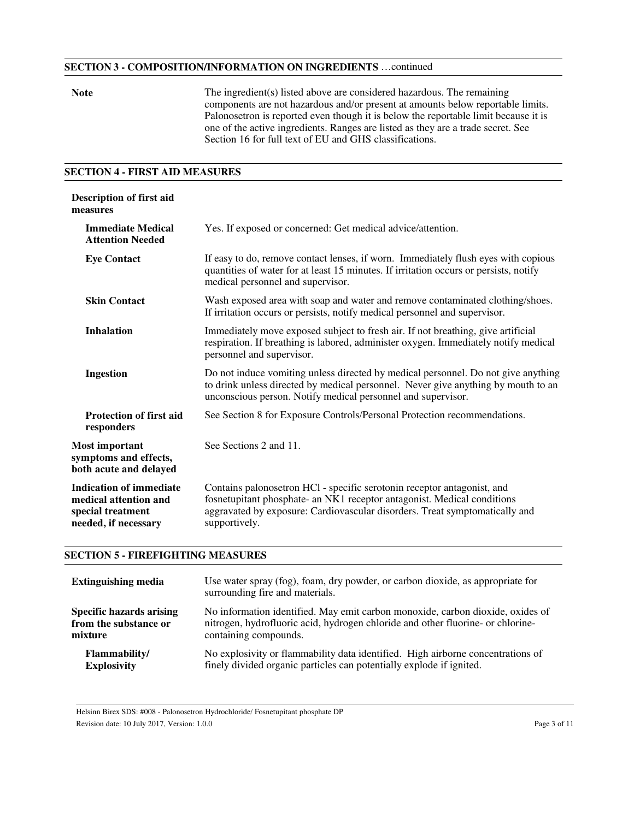### **SECTION 3 - COMPOSITION/INFORMATION ON INGREDIENTS** …continued

**Note** The ingredient(s) listed above are considered hazardous. The remaining components are not hazardous and/or present at amounts below reportable limits. Palonosetron is reported even though it is below the reportable limit because it is one of the active ingredients. Ranges are listed as they are a trade secret. See Section 16 for full text of EU and GHS classifications.

#### **SECTION 4 - FIRST AID MEASURES**

| <b>Description of first aid</b><br>measures                                                          |                                                                                                                                                                                                                                                    |
|------------------------------------------------------------------------------------------------------|----------------------------------------------------------------------------------------------------------------------------------------------------------------------------------------------------------------------------------------------------|
| <b>Immediate Medical</b><br><b>Attention Needed</b>                                                  | Yes. If exposed or concerned: Get medical advice/attention.                                                                                                                                                                                        |
| <b>Eye Contact</b>                                                                                   | If easy to do, remove contact lenses, if worn. Immediately flush eyes with copious<br>quantities of water for at least 15 minutes. If irritation occurs or persists, notify<br>medical personnel and supervisor.                                   |
| <b>Skin Contact</b>                                                                                  | Wash exposed area with soap and water and remove contaminated clothing/shoes.<br>If irritation occurs or persists, notify medical personnel and supervisor.                                                                                        |
| <b>Inhalation</b>                                                                                    | Immediately move exposed subject to fresh air. If not breathing, give artificial<br>respiration. If breathing is labored, administer oxygen. Immediately notify medical<br>personnel and supervisor.                                               |
| Ingestion                                                                                            | Do not induce vomiting unless directed by medical personnel. Do not give anything<br>to drink unless directed by medical personnel. Never give anything by mouth to an<br>unconscious person. Notify medical personnel and supervisor.             |
| <b>Protection of first aid</b><br>responders                                                         | See Section 8 for Exposure Controls/Personal Protection recommendations.                                                                                                                                                                           |
| <b>Most important</b><br>symptoms and effects,<br>both acute and delayed                             | See Sections 2 and 11.                                                                                                                                                                                                                             |
| <b>Indication of immediate</b><br>medical attention and<br>special treatment<br>needed, if necessary | Contains palonosetron HCl - specific serotonin receptor antagonist, and<br>fosnetupitant phosphate- an NK1 receptor antagonist. Medical conditions<br>aggravated by exposure: Cardiovascular disorders. Treat symptomatically and<br>supportively. |

#### **SECTION 5 - FIREFIGHTING MEASURES**

| <b>Extinguishing media</b>      | Use water spray (fog), foam, dry powder, or carbon dioxide, as appropriate for<br>surrounding fire and materials. |
|---------------------------------|-------------------------------------------------------------------------------------------------------------------|
| <b>Specific hazards arising</b> | No information identified. May emit carbon monoxide, carbon dioxide, oxides of                                    |
| from the substance or           | nitrogen, hydrofluoric acid, hydrogen chloride and other fluorine- or chlorine-                                   |
| mixture                         | containing compounds.                                                                                             |
| <b>Flammability/</b>            | No explosivity or flammability data identified. High airborne concentrations of                                   |
| <b>Explosivity</b>              | finely divided organic particles can potentially explode if ignited.                                              |

Helsinn Birex SDS: #008 - Palonosetron Hydrochloride/ Fosnetupitant phosphate DP

Revision date: 10 July 2017, Version: 1.0.0 Page 3 of 11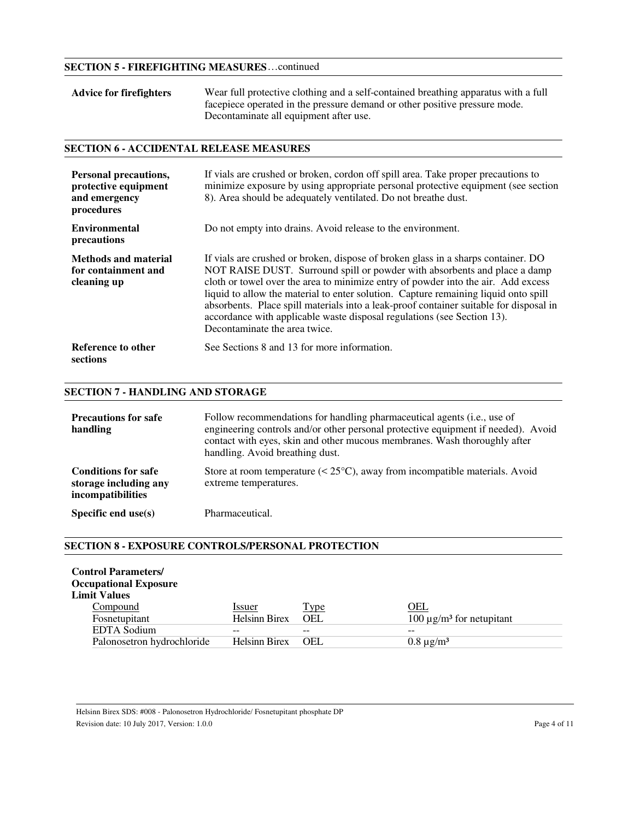## **SECTION 5 - FIREFIGHTING MEASURES** …continued

| <b>Advice for firefighters</b> | Wear full protective clothing and a self-contained breathing apparatus with a full |  |
|--------------------------------|------------------------------------------------------------------------------------|--|
|                                | facepiece operated in the pressure demand or other positive pressure mode.         |  |
|                                | Decontaminate all equipment after use.                                             |  |

## **SECTION 6 - ACCIDENTAL RELEASE MEASURES**

| Personal precautions,<br>protective equipment<br>and emergency<br>procedures | If vials are crushed or broken, cordon off spill area. Take proper precautions to<br>minimize exposure by using appropriate personal protective equipment (see section<br>8). Area should be adequately ventilated. Do not breathe dust.                                                                                                                                                                                                                                                                                                         |
|------------------------------------------------------------------------------|--------------------------------------------------------------------------------------------------------------------------------------------------------------------------------------------------------------------------------------------------------------------------------------------------------------------------------------------------------------------------------------------------------------------------------------------------------------------------------------------------------------------------------------------------|
| Environmental<br>precautions                                                 | Do not empty into drains. Avoid release to the environment.                                                                                                                                                                                                                                                                                                                                                                                                                                                                                      |
| <b>Methods and material</b><br>for containment and<br>cleaning up            | If vials are crushed or broken, dispose of broken glass in a sharps container. DO<br>NOT RAISE DUST. Surround spill or powder with absorbents and place a damp<br>cloth or towel over the area to minimize entry of powder into the air. Add excess<br>liquid to allow the material to enter solution. Capture remaining liquid onto spill<br>absorbents. Place spill materials into a leak-proof container suitable for disposal in<br>accordance with applicable waste disposal regulations (see Section 13).<br>Decontaminate the area twice. |
| Reference to other<br>sections                                               | See Sections 8 and 13 for more information.                                                                                                                                                                                                                                                                                                                                                                                                                                                                                                      |

# **SECTION 7 - HANDLING AND STORAGE**

| <b>Precautions for safe</b><br>handling                                  | Follow recommendations for handling pharmaceutical agents (i.e., use of<br>engineering controls and/or other personal protective equipment if needed). Avoid<br>contact with eyes, skin and other mucous membranes. Wash thoroughly after<br>handling. Avoid breathing dust. |
|--------------------------------------------------------------------------|------------------------------------------------------------------------------------------------------------------------------------------------------------------------------------------------------------------------------------------------------------------------------|
| <b>Conditions for safe</b><br>storage including any<br>incompatibilities | Store at room temperature $(< 25^{\circ}$ C), away from incompatible materials. Avoid<br>extreme temperatures.                                                                                                                                                               |
| Specific end $use(s)$                                                    | Pharmaceutical.                                                                                                                                                                                                                                                              |

#### **SECTION 8 - EXPOSURE CONTROLS/PERSONAL PROTECTION**

| <b>Control Parameters/</b><br><b>Occupational Exposure</b><br><b>Limit Values</b> |                                |                    |                                                  |
|-----------------------------------------------------------------------------------|--------------------------------|--------------------|--------------------------------------------------|
| Compound<br>Fosnetupitant                                                         | Issuer<br><b>Helsinn Birex</b> | <b>Type</b><br>OEL | OEL<br>100 $\mu$ g/m <sup>3</sup> for netupitant |
| <b>EDTA</b> Sodium                                                                | --                             |                    |                                                  |
| Palonosetron hydrochloride                                                        | <b>Helsinn Birex</b>           | OEL                | $0.8 \mu g/m^3$                                  |

Helsinn Birex SDS: #008 - Palonosetron Hydrochloride/ Fosnetupitant phosphate DP Revision date: 10 July 2017, Version: 1.0.0 Page 4 of 11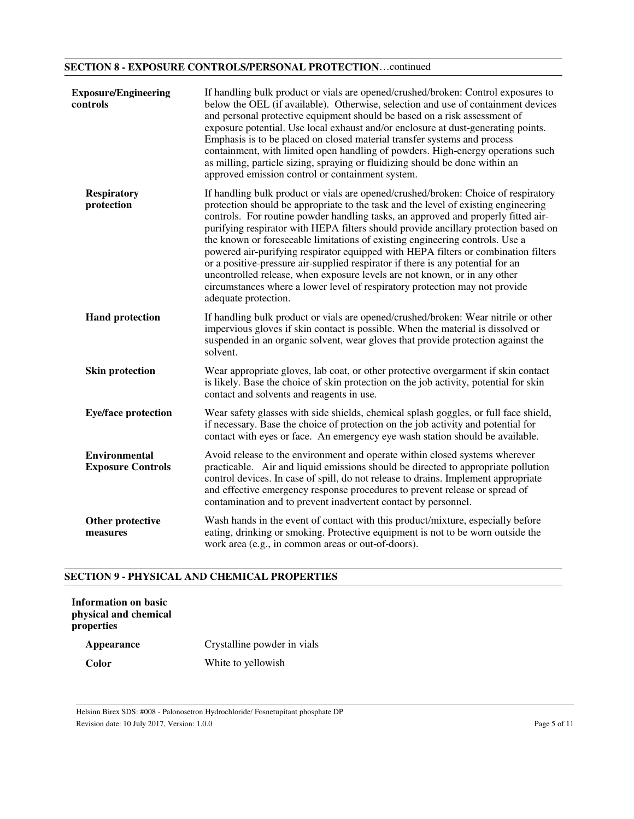## **SECTION 8 - EXPOSURE CONTROLS/PERSONAL PROTECTION** …continued

| <b>Exposure/Engineering</b><br>controls          | If handling bulk product or vials are opened/crushed/broken: Control exposures to<br>below the OEL (if available). Otherwise, selection and use of containment devices<br>and personal protective equipment should be based on a risk assessment of<br>exposure potential. Use local exhaust and/or enclosure at dust-generating points.<br>Emphasis is to be placed on closed material transfer systems and process<br>containment, with limited open handling of powders. High-energy operations such<br>as milling, particle sizing, spraying or fluidizing should be done within an<br>approved emission control or containment system.                                                                                                                                                       |
|--------------------------------------------------|---------------------------------------------------------------------------------------------------------------------------------------------------------------------------------------------------------------------------------------------------------------------------------------------------------------------------------------------------------------------------------------------------------------------------------------------------------------------------------------------------------------------------------------------------------------------------------------------------------------------------------------------------------------------------------------------------------------------------------------------------------------------------------------------------|
| <b>Respiratory</b><br>protection                 | If handling bulk product or vials are opened/crushed/broken: Choice of respiratory<br>protection should be appropriate to the task and the level of existing engineering<br>controls. For routine powder handling tasks, an approved and properly fitted air-<br>purifying respirator with HEPA filters should provide ancillary protection based on<br>the known or foreseeable limitations of existing engineering controls. Use a<br>powered air-purifying respirator equipped with HEPA filters or combination filters<br>or a positive-pressure air-supplied respirator if there is any potential for an<br>uncontrolled release, when exposure levels are not known, or in any other<br>circumstances where a lower level of respiratory protection may not provide<br>adequate protection. |
| <b>Hand protection</b>                           | If handling bulk product or vials are opened/crushed/broken: Wear nitrile or other<br>impervious gloves if skin contact is possible. When the material is dissolved or<br>suspended in an organic solvent, wear gloves that provide protection against the<br>solvent.                                                                                                                                                                                                                                                                                                                                                                                                                                                                                                                            |
| <b>Skin protection</b>                           | Wear appropriate gloves, lab coat, or other protective overgarment if skin contact<br>is likely. Base the choice of skin protection on the job activity, potential for skin<br>contact and solvents and reagents in use.                                                                                                                                                                                                                                                                                                                                                                                                                                                                                                                                                                          |
| <b>Eye/face protection</b>                       | Wear safety glasses with side shields, chemical splash goggles, or full face shield,<br>if necessary. Base the choice of protection on the job activity and potential for<br>contact with eyes or face. An emergency eye wash station should be available.                                                                                                                                                                                                                                                                                                                                                                                                                                                                                                                                        |
| <b>Environmental</b><br><b>Exposure Controls</b> | Avoid release to the environment and operate within closed systems wherever<br>practicable. Air and liquid emissions should be directed to appropriate pollution<br>control devices. In case of spill, do not release to drains. Implement appropriate<br>and effective emergency response procedures to prevent release or spread of<br>contamination and to prevent inadvertent contact by personnel.                                                                                                                                                                                                                                                                                                                                                                                           |
| Other protective<br>measures                     | Wash hands in the event of contact with this product/mixture, especially before<br>eating, drinking or smoking. Protective equipment is not to be worn outside the<br>work area (e.g., in common areas or out-of-doors).                                                                                                                                                                                                                                                                                                                                                                                                                                                                                                                                                                          |

## **SECTION 9 - PHYSICAL AND CHEMICAL PROPERTIES**

| Information on basic<br>physical and chemical<br>properties |                             |
|-------------------------------------------------------------|-----------------------------|
| Appearance                                                  | Crystalline powder in vials |
| Color                                                       | White to yellowish          |

Helsinn Birex SDS: #008 - Palonosetron Hydrochloride/ Fosnetupitant phosphate DP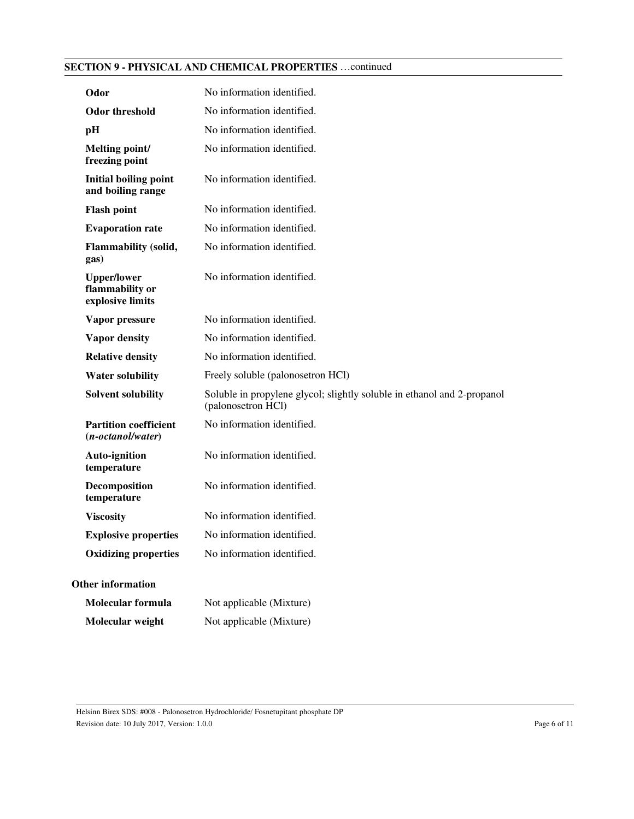## **SECTION 9 - PHYSICAL AND CHEMICAL PROPERTIES** …continued

| Odor                                                      | No information identified.                                                                    |
|-----------------------------------------------------------|-----------------------------------------------------------------------------------------------|
| <b>Odor threshold</b>                                     | No information identified.                                                                    |
| pН                                                        | No information identified.                                                                    |
| Melting point/<br>freezing point                          | No information identified.                                                                    |
| <b>Initial boiling point</b><br>and boiling range         | No information identified.                                                                    |
| <b>Flash point</b>                                        | No information identified.                                                                    |
| <b>Evaporation rate</b>                                   | No information identified.                                                                    |
| <b>Flammability (solid,</b><br>gas)                       | No information identified.                                                                    |
| <b>Upper/lower</b><br>flammability or<br>explosive limits | No information identified.                                                                    |
| Vapor pressure                                            | No information identified.                                                                    |
| <b>Vapor density</b>                                      | No information identified.                                                                    |
| <b>Relative density</b>                                   | No information identified.                                                                    |
| <b>Water solubility</b>                                   | Freely soluble (palonosetron HCl)                                                             |
| <b>Solvent solubility</b>                                 | Soluble in propylene glycol; slightly soluble in ethanol and 2-propanol<br>(palonosetron HCl) |
| <b>Partition coefficient</b><br>$(n-octanol/water)$       | No information identified.                                                                    |
| <b>Auto-ignition</b><br>temperature                       | No information identified.                                                                    |
| Decomposition<br>temperature                              | No information identified.                                                                    |
| <b>Viscosity</b>                                          | No information identified.                                                                    |
| <b>Explosive properties</b>                               | No information identified.                                                                    |
| <b>Oxidizing properties</b>                               | No information identified.                                                                    |
| <b>Other information</b>                                  |                                                                                               |
| <b>Molecular formula</b>                                  | Not applicable (Mixture)                                                                      |
| Molecular weight                                          | Not applicable (Mixture)                                                                      |

Helsinn Birex SDS: #008 - Palonosetron Hydrochloride/ Fosnetupitant phosphate DP Revision date: 10 July 2017, Version: 1.0.0 Page 6 of 11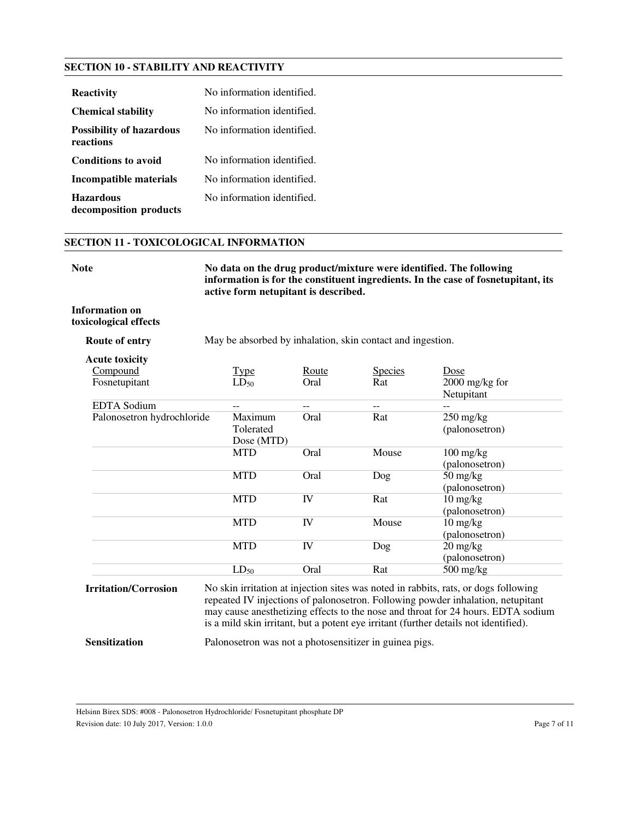## **SECTION 10 - STABILITY AND REACTIVITY**

| <b>Reactivity</b>                            | No information identified. |
|----------------------------------------------|----------------------------|
| <b>Chemical stability</b>                    | No information identified. |
| <b>Possibility of hazardous</b><br>reactions | No information identified. |
| <b>Conditions to avoid</b>                   | No information identified. |
| Incompatible materials                       | No information identified. |
| <b>Hazardous</b><br>decomposition products   | No information identified. |

#### **SECTION 11 - TOXICOLOGICAL INFORMATION**

No data on the drug product/mixture were identified. The following **information is for the constituent ingredients. In the case of fosnetupitant, its active form netupitant is described.**

#### **Information on toxicological effects**

**Route of entry** May be absorbed by inhalation, skin contact and ingestion.

| <u>Type</u>                        | Route | <b>Species</b> | Dose                                                |
|------------------------------------|-------|----------------|-----------------------------------------------------|
| $LD_{50}$                          | Oral  | Rat            | $2000$ mg/kg for<br>Netupitant                      |
|                                    |       |                |                                                     |
| Maximum<br>Tolerated<br>Dose (MTD) | Oral  | Rat            | $250 \frac{\text{mg}}{\text{kg}}$<br>(palonosetron) |
| MTD                                | Oral  | Mouse          | $100 \frac{\text{mg}}{\text{kg}}$<br>(palonosetron) |
| <b>MTD</b>                         | Oral  | Dog            | $50 \frac{\text{mg}}{\text{kg}}$<br>(palonosetron)  |
| <b>MTD</b>                         | IV    | Rat            | $10 \frac{\text{mg}}{\text{kg}}$<br>(palonosetron)  |
| <b>MTD</b>                         | IV    | Mouse          | $10 \frac{\text{mg}}{\text{kg}}$<br>(palonosetron)  |
| <b>MTD</b>                         | IV    | Dog            | $20 \frac{\text{mg}}{\text{kg}}$<br>(palonosetron)  |
| $LD_{50}$                          | Oral  | Rat            | $500 \frac{\text{mg}}{\text{kg}}$                   |
|                                    |       |                |                                                     |

may cause anesthetizing effects to the nose and throat for 24 hours. EDTA sodium is a mild skin irritant, but a potent eye irritant (further details not identified).

**Sensitization** Palonosetron was not a photosensitizer in guinea pigs.

Revision date: 10 July 2017, Version: 1.0.0 Page 7 of 11

Helsinn Birex SDS: #008 - Palonosetron Hydrochloride/ Fosnetupitant phosphate DP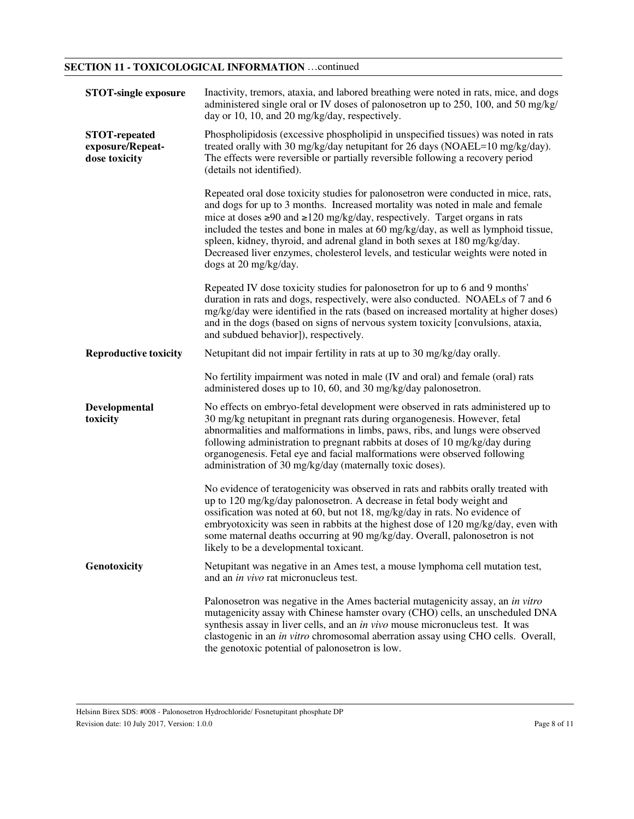# **SECTION 11 - TOXICOLOGICAL INFORMATION** …continued

| <b>STOT-single exposure</b>                               | Inactivity, tremors, ataxia, and labored breathing were noted in rats, mice, and dogs<br>administered single oral or IV doses of palonosetron up to 250, 100, and 50 mg/kg/<br>day or 10, 10, and 20 mg/kg/day, respectively.                                                                                                                                                                                                                                                                                                                  |
|-----------------------------------------------------------|------------------------------------------------------------------------------------------------------------------------------------------------------------------------------------------------------------------------------------------------------------------------------------------------------------------------------------------------------------------------------------------------------------------------------------------------------------------------------------------------------------------------------------------------|
| <b>STOT-repeated</b><br>exposure/Repeat-<br>dose toxicity | Phospholipidosis (excessive phospholipid in unspecified tissues) was noted in rats<br>treated orally with 30 mg/kg/day netupitant for 26 days (NOAEL=10 mg/kg/day).<br>The effects were reversible or partially reversible following a recovery period<br>(details not identified).                                                                                                                                                                                                                                                            |
|                                                           | Repeated oral dose toxicity studies for palonosetron were conducted in mice, rats,<br>and dogs for up to 3 months. Increased mortality was noted in male and female<br>mice at doses $\geq 90$ and $\geq 120$ mg/kg/day, respectively. Target organs in rats<br>included the testes and bone in males at 60 mg/kg/day, as well as lymphoid tissue,<br>spleen, kidney, thyroid, and adrenal gland in both sexes at 180 mg/kg/day.<br>Decreased liver enzymes, cholesterol levels, and testicular weights were noted in<br>dogs at 20 mg/kg/day. |
|                                                           | Repeated IV dose toxicity studies for palonosetron for up to 6 and 9 months'<br>duration in rats and dogs, respectively, were also conducted. NOAELs of 7 and 6<br>mg/kg/day were identified in the rats (based on increased mortality at higher doses)<br>and in the dogs (based on signs of nervous system toxicity [convulsions, ataxia,<br>and subdued behavior]), respectively.                                                                                                                                                           |
| <b>Reproductive toxicity</b>                              | Netupitant did not impair fertility in rats at up to 30 mg/kg/day orally.                                                                                                                                                                                                                                                                                                                                                                                                                                                                      |
|                                                           | No fertility impairment was noted in male (IV and oral) and female (oral) rats<br>administered doses up to 10, 60, and 30 mg/kg/day palonosetron.                                                                                                                                                                                                                                                                                                                                                                                              |
| Developmental<br>toxicity                                 | No effects on embryo-fetal development were observed in rats administered up to<br>30 mg/kg netupitant in pregnant rats during organogenesis. However, fetal<br>abnormalities and malformations in limbs, paws, ribs, and lungs were observed<br>following administration to pregnant rabbits at doses of 10 mg/kg/day during<br>organogenesis. Fetal eye and facial malformations were observed following<br>administration of 30 mg/kg/day (maternally toxic doses).                                                                         |
|                                                           | No evidence of teratogenicity was observed in rats and rabbits orally treated with<br>up to 120 mg/kg/day palonosetron. A decrease in fetal body weight and<br>ossification was noted at 60, but not 18, mg/kg/day in rats. No evidence of<br>embryotoxicity was seen in rabbits at the highest dose of 120 mg/kg/day, even with<br>some maternal deaths occurring at 90 mg/kg/day. Overall, palonosetron is not<br>likely to be a developmental toxicant.                                                                                     |
| Genotoxicity                                              | Netupitant was negative in an Ames test, a mouse lymphoma cell mutation test,<br>and an in vivo rat micronucleus test.                                                                                                                                                                                                                                                                                                                                                                                                                         |
|                                                           | Palonosetron was negative in the Ames bacterial mutagenicity assay, an in vitro<br>mutagenicity assay with Chinese hamster ovary (CHO) cells, an unscheduled DNA<br>synthesis assay in liver cells, and an in vivo mouse micronucleus test. It was<br>clastogenic in an in vitro chromosomal aberration assay using CHO cells. Overall,<br>the genotoxic potential of palonosetron is low.                                                                                                                                                     |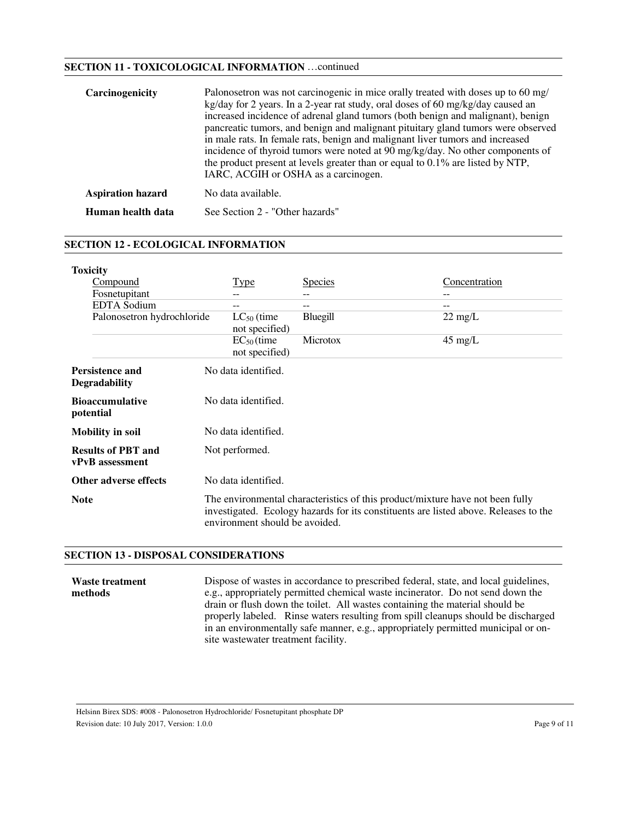## **SECTION 11 - TOXICOLOGICAL INFORMATION** …continued

| Carcinogenicity          | Palonosetron was not carcinogenic in mice orally treated with doses up to 60 mg/<br>kg/day for 2 years. In a 2-year rat study, oral doses of 60 mg/kg/day caused an<br>increased incidence of adrenal gland tumors (both benign and malignant), benign<br>pancreatic tumors, and benign and malignant pituitary gland tumors were observed<br>in male rats. In female rats, benign and malignant liver tumors and increased<br>incidence of thyroid tumors were noted at 90 mg/kg/day. No other components of<br>the product present at levels greater than or equal to $0.1\%$ are listed by NTP,<br>IARC, ACGIH or OSHA as a carcinogen. |
|--------------------------|--------------------------------------------------------------------------------------------------------------------------------------------------------------------------------------------------------------------------------------------------------------------------------------------------------------------------------------------------------------------------------------------------------------------------------------------------------------------------------------------------------------------------------------------------------------------------------------------------------------------------------------------|
| <b>Aspiration hazard</b> | No data available.                                                                                                                                                                                                                                                                                                                                                                                                                                                                                                                                                                                                                         |
| Human health data        | See Section 2 - "Other hazards"                                                                                                                                                                                                                                                                                                                                                                                                                                                                                                                                                                                                            |

## **SECTION 12 - ECOLOGICAL INFORMATION**

| <b>Toxicity</b>                                |                                   |                |                                                                                                                                                                       |
|------------------------------------------------|-----------------------------------|----------------|-----------------------------------------------------------------------------------------------------------------------------------------------------------------------|
| <u>Compound</u>                                | Type                              | <b>Species</b> | Concentration                                                                                                                                                         |
| Fosnetupitant                                  |                                   |                | --                                                                                                                                                                    |
| <b>EDTA</b> Sodium                             |                                   |                |                                                                                                                                                                       |
| Palonosetron hydrochloride                     | $LC_{50}$ (time<br>not specified) | Bluegill       | $22 \text{ mg/L}$                                                                                                                                                     |
|                                                | $EC_{50}$ (time<br>not specified) | Microtox       | $45 \text{ mg/L}$                                                                                                                                                     |
| <b>Persistence and</b><br><b>Degradability</b> | No data identified.               |                |                                                                                                                                                                       |
| <b>Bioaccumulative</b><br>potential            | No data identified.               |                |                                                                                                                                                                       |
| <b>Mobility in soil</b>                        | No data identified.               |                |                                                                                                                                                                       |
| <b>Results of PBT and</b><br>vPvB assessment   | Not performed.                    |                |                                                                                                                                                                       |
| Other adverse effects                          | No data identified.               |                |                                                                                                                                                                       |
| <b>Note</b>                                    | environment should be avoided.    |                | The environmental characteristics of this product/mixture have not been fully<br>investigated. Ecology hazards for its constituents are listed above. Releases to the |

#### **SECTION 13 - DISPOSAL CONSIDERATIONS**

**Waste treatment methods** Dispose of wastes in accordance to prescribed federal, state, and local guidelines, e.g., appropriately permitted chemical waste incinerator. Do not send down the drain or flush down the toilet. All wastes containing the material should be properly labeled. Rinse waters resulting from spill cleanups should be discharged in an environmentally safe manner, e.g., appropriately permitted municipal or onsite wastewater treatment facility.

Helsinn Birex SDS: #008 - Palonosetron Hydrochloride/ Fosnetupitant phosphate DP Revision date: 10 July 2017, Version: 1.0.0 Page 9 of 11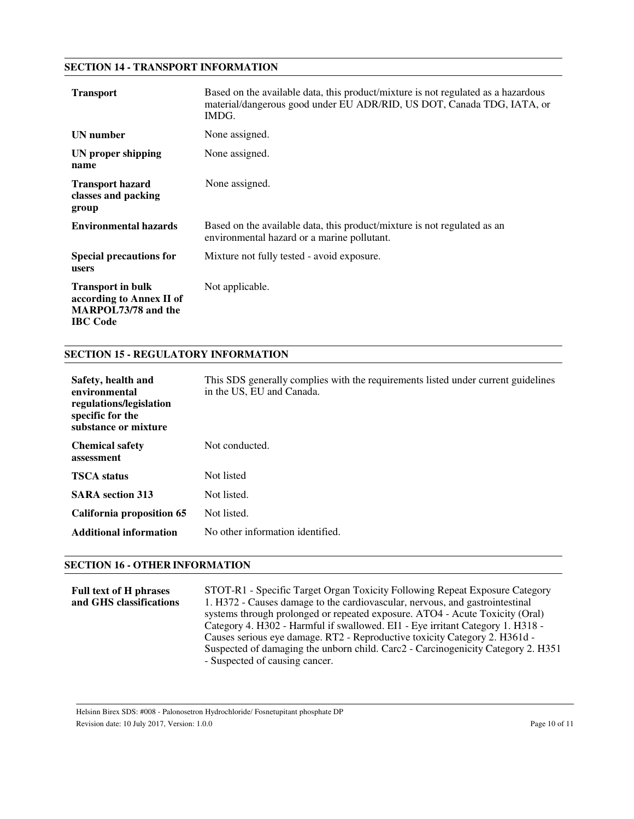#### **SECTION 14 - TRANSPORT INFORMATION**

| <b>Transport</b>                                                                                      | Based on the available data, this product/mixture is not regulated as a hazardous<br>material/dangerous good under EU ADR/RID, US DOT, Canada TDG, IATA, or<br>IMDG. |
|-------------------------------------------------------------------------------------------------------|----------------------------------------------------------------------------------------------------------------------------------------------------------------------|
| <b>UN</b> number                                                                                      | None assigned.                                                                                                                                                       |
| UN proper shipping<br>name                                                                            | None assigned.                                                                                                                                                       |
| <b>Transport hazard</b><br>classes and packing<br>group                                               | None assigned.                                                                                                                                                       |
| <b>Environmental hazards</b>                                                                          | Based on the available data, this product/mixture is not regulated as an<br>environmental hazard or a marine pollutant.                                              |
| <b>Special precautions for</b><br>users                                                               | Mixture not fully tested - avoid exposure.                                                                                                                           |
| <b>Transport in bulk</b><br>according to Annex II of<br><b>MARPOL73/78 and the</b><br><b>IBC</b> Code | Not applicable.                                                                                                                                                      |

## **SECTION 15 - REGULATORY INFORMATION**

| Safety, health and<br>environmental<br>regulations/legislation<br>specific for the<br>substance or mixture | This SDS generally complies with the requirements listed under current guidelines<br>in the US, EU and Canada. |
|------------------------------------------------------------------------------------------------------------|----------------------------------------------------------------------------------------------------------------|
| <b>Chemical safety</b><br>assessment                                                                       | Not conducted.                                                                                                 |
| <b>TSCA</b> status                                                                                         | Not listed                                                                                                     |
| <b>SARA</b> section 313                                                                                    | Not listed.                                                                                                    |
| California proposition 65                                                                                  | Not listed.                                                                                                    |
| Additional information                                                                                     | No other information identified.                                                                               |

#### **SECTION 16 - OTHER INFORMATION**

**Full text of H phrases and GHS classifications** STOT-R1 - Specific Target Organ Toxicity Following Repeat Exposure Category 1. H372 - Causes damage to the cardiovascular, nervous, and gastrointestinal systems through prolonged or repeated exposure. ATO4 - Acute Toxicity (Oral) Category 4. H302 - Harmful if swallowed. EI1 - Eye irritant Category 1. H318 - Causes serious eye damage. RT2 - Reproductive toxicity Category 2. H361d - Suspected of damaging the unborn child. Carc2 - Carcinogenicity Category 2. H351 - Suspected of causing cancer.

Helsinn Birex SDS: #008 - Palonosetron Hydrochloride/ Fosnetupitant phosphate DP Revision date: 10 July 2017, Version: 1.0.0 Page 10 of 11